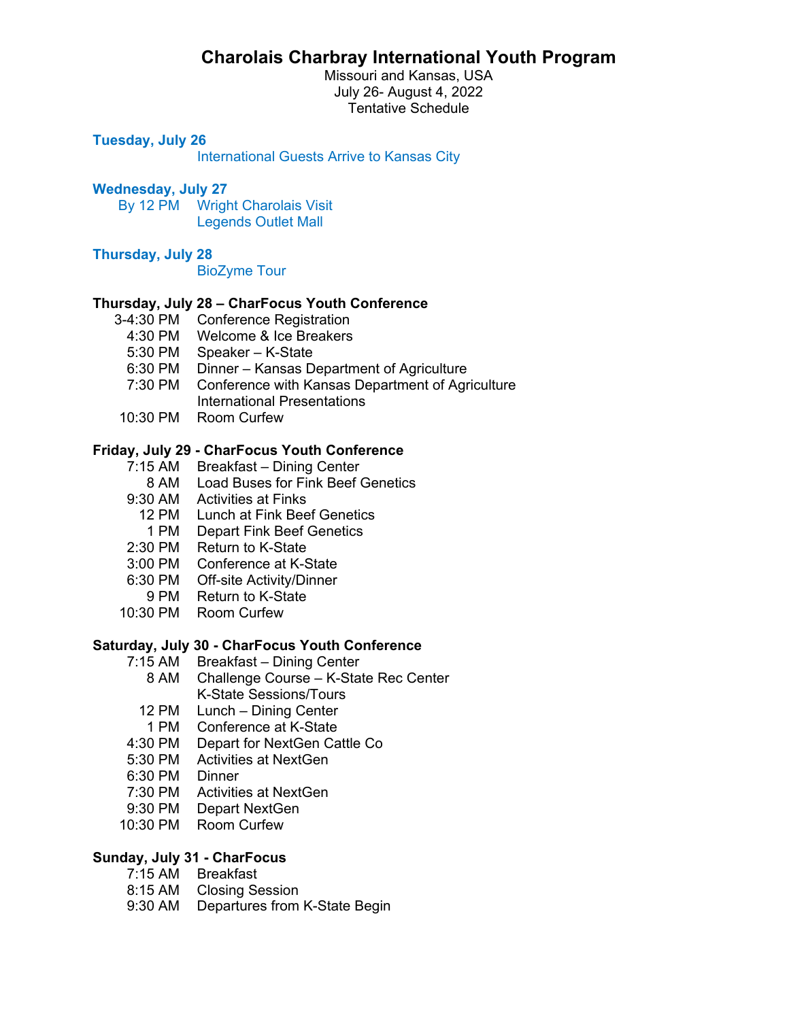# **Charolais Charbray International Youth Program**

Missouri and Kansas, USA July 26- August 4, 2022 Tentative Schedule

# **Tuesday, July 26**

International Guests Arrive to Kansas City

# **Wednesday, July 27**

 By 12 PM Wright Charolais Visit Legends Outlet Mall

## **Thursday, July 28**

BioZyme Tour

## **Thursday, July 28 – CharFocus Youth Conference**

- 3-4:30 PM Conference Registration
	- 4:30 PM Welcome & Ice Breakers
	- 5:30 PM Speaker K-State
	- 6:30 PM Dinner Kansas Department of Agriculture
	- 7:30 PM Conference with Kansas Department of Agriculture International Presentations
- 10:30 PM Room Curfew

## **Friday, July 29 - CharFocus Youth Conference**

- 7:15 AM Breakfast Dining Center
- 8 AM Load Buses for Fink Beef Genetics
- 9:30 AM Activities at Finks
	- 12 PM Lunch at Fink Beef Genetics
	- 1 PM Depart Fink Beef Genetics
- 2:30 PM Return to K-State
- 3:00 PM Conference at K-State
- 6:30 PM Off-site Activity/Dinner
- 9 PM Return to K-State
- 10:30 PM Room Curfew

# **Saturday, July 30 - CharFocus Youth Conference**

- 7:15 AM Breakfast Dining Center
	- 8 AM Challenge Course K-State Rec Center K-State Sessions/Tours
	- 12 PM Lunch Dining Center
	- 1 PM Conference at K-State
- 4:30 PM Depart for NextGen Cattle Co
- 5:30 PM Activities at NextGen
- 6:30 PM Dinner
- 7:30 PM Activities at NextGen
- 9:30 PM Depart NextGen
- 10:30 PM Room Curfew

# **Sunday, July 31 - CharFocus**

- 7:15 AM Breakfast
- 8:15 AM Closing Session
- 9:30 AM Departures from K-State Begin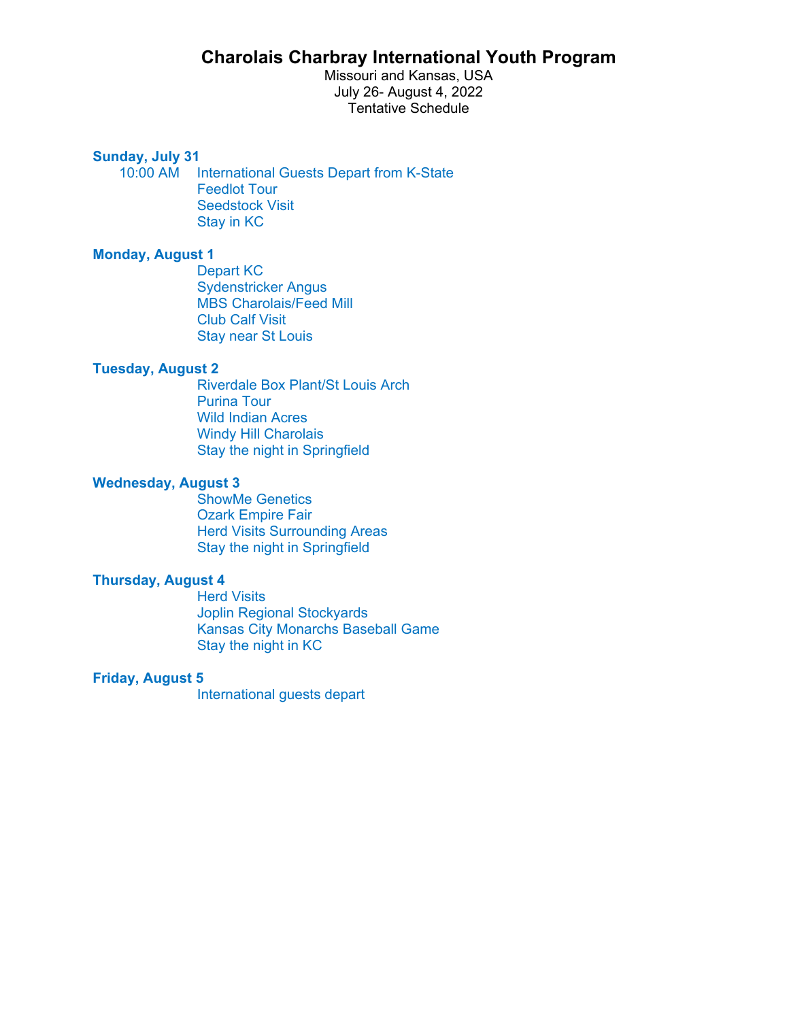# **Charolais Charbray International Youth Program**

Missouri and Kansas, USA July 26- August 4, 2022 Tentative Schedule

**Sunday, July 31** 

10:00 AM International Guests Depart from K-State Feedlot Tour Seedstock Visit Stay in KC

# **Monday, August 1**

 Depart KC Sydenstricker Angus MBS Charolais/Feed Mill Club Calf Visit Stay near St Louis

# **Tuesday, August 2**

 Riverdale Box Plant/St Louis Arch Purina Tour Wild Indian Acres Windy Hill Charolais Stay the night in Springfield

# **Wednesday, August 3**

 ShowMe Genetics Ozark Empire Fair Herd Visits Surrounding Areas Stay the night in Springfield

## **Thursday, August 4**

**Herd Visits**  Joplin Regional Stockyards Kansas City Monarchs Baseball Game Stay the night in KC

#### **Friday, August 5**

International guests depart